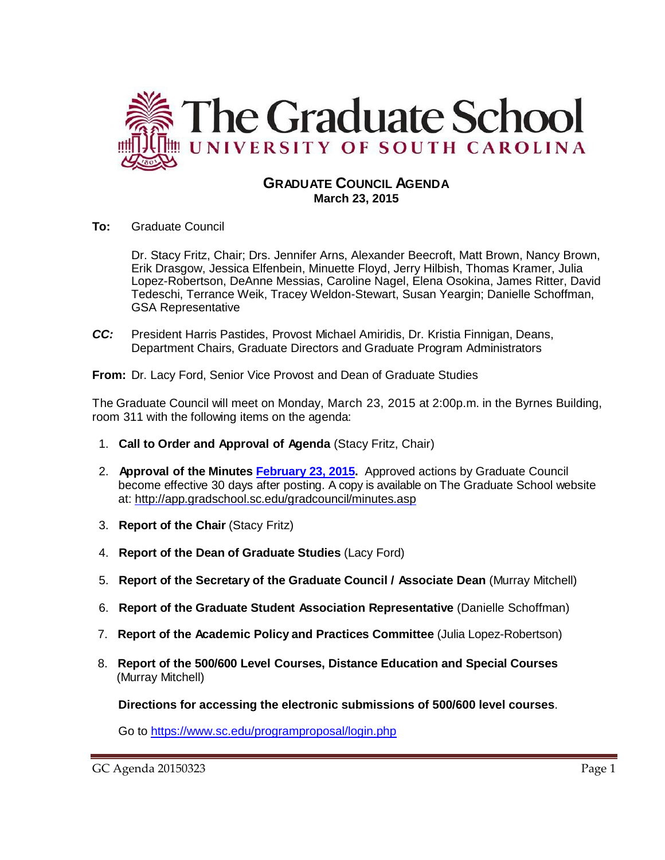

# **GRADUATE COUNCIL AGENDA March 23, 2015**

**To:** Graduate Council

Dr. Stacy Fritz, Chair; Drs. Jennifer Arns, Alexander Beecroft, Matt Brown, Nancy Brown, Erik Drasgow, Jessica Elfenbein, Minuette Floyd, Jerry Hilbish, Thomas Kramer, Julia Lopez-Robertson, DeAnne Messias, Caroline Nagel, Elena Osokina, James Ritter, David Tedeschi, Terrance Weik, Tracey Weldon-Stewart, Susan Yeargin; Danielle Schoffman, GSA Representative

*CC:* President Harris Pastides, Provost Michael Amiridis, Dr. Kristia Finnigan, Deans, Department Chairs, Graduate Directors and Graduate Program Administrators

**From:** Dr. Lacy Ford, Senior Vice Provost and Dean of Graduate Studies

The Graduate Council will meet on Monday, March 23, 2015 at 2:00p.m. in the Byrnes Building, room 311 with the following items on the agenda:

- 1. **Call to Order and Approval of Agenda** (Stacy Fritz, Chair)
- 2. **Approval of the Minutes [February 23, 2015.](http://gradschool.sc.edu/facstaff/gradcouncil/2014/GC%20Minutes%202%2023%2015.pdf)** Approved actions by Graduate Council become effective 30 days after posting. A copy is available on The Graduate School website at:<http://app.gradschool.sc.edu/gradcouncil/minutes.asp>
- 3. **Report of the Chair** (Stacy Fritz)
- 4. **Report of the Dean of Graduate Studies** (Lacy Ford)
- 5. **Report of the Secretary of the Graduate Council / Associate Dean** (Murray Mitchell)
- 6. **Report of the Graduate Student Association Representative** (Danielle Schoffman)
- 7. **Report of the Academic Policy and Practices Committee** (Julia Lopez-Robertson)
- 8. **Report of the 500/600 Level Courses, Distance Education and Special Courses** (Murray Mitchell)

**Directions for accessing the electronic submissions of 500/600 level courses**.

Go to<https://www.sc.edu/programproposal/login.php>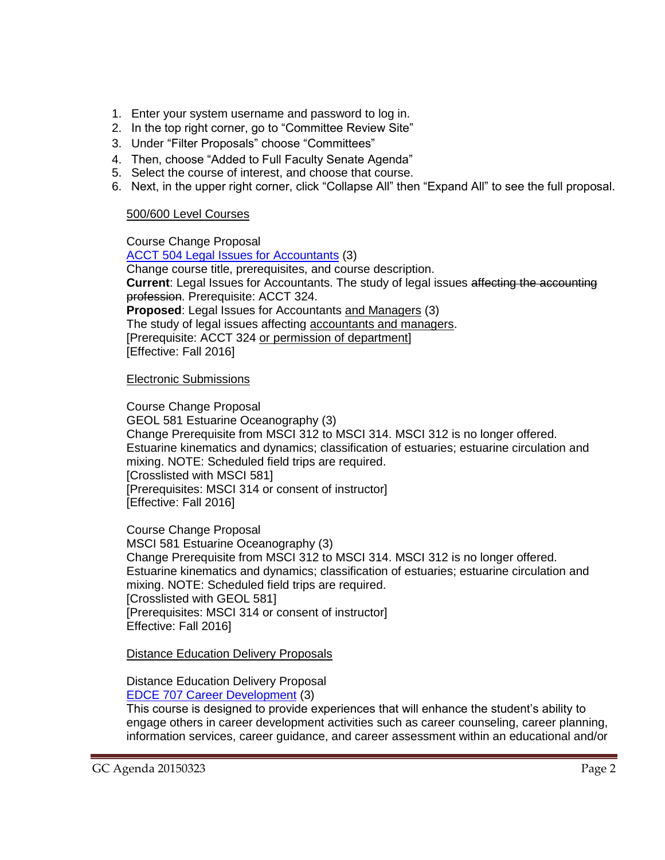- 1. Enter your system username and password to log in.
- 2. In the top right corner, go to "Committee Review Site"
- 3. Under "Filter Proposals" choose "Committees"
- 4. Then, choose "Added to Full Faculty Senate Agenda"
- 5. Select the course of interest, and choose that course.
- 6. Next, in the upper right corner, click "Collapse All" then "Expand All" to see the full proposal.

### 500/600 Level Courses

Course Change Proposal [ACCT 504 Legal Issues for Accountants](http://gradschool.sc.edu/facstaff/gradcouncil/2014/ACCT%20504%20CCP_Redacted.pdf) (3) Change course title, prerequisites, and course description. **Current**: Legal Issues for Accountants. The study of legal issues affecting the accounting profession. Prerequisite: ACCT 324. **Proposed**: Legal Issues for Accountants and Managers (3) The study of legal issues affecting accountants and managers. [Prerequisite: ACCT 324 or permission of department] [Effective: Fall 2016]

### Electronic Submissions

Course Change Proposal GEOL 581 Estuarine Oceanography (3) Change Prerequisite from MSCI 312 to MSCI 314. MSCI 312 is no longer offered. Estuarine kinematics and dynamics; classification of estuaries; estuarine circulation and mixing. NOTE: Scheduled field trips are required. [Crosslisted with MSCI 581] [Prerequisites: MSCI 314 or consent of instructor] [Effective: Fall 2016]

Course Change Proposal MSCI 581 Estuarine Oceanography (3) Change Prerequisite from MSCI 312 to MSCI 314. MSCI 312 is no longer offered. Estuarine kinematics and dynamics; classification of estuaries; estuarine circulation and mixing. NOTE: Scheduled field trips are required. [Crosslisted with GEOL 581] [Prerequisites: MSCI 314 or consent of instructor] Effective: Fall 2016]

Distance Education Delivery Proposals

Distance Education Delivery Proposal [EDCE 707 Career Development](http://gradschool.sc.edu/facstaff/gradcouncil/2014/EDCE%20707%20DED_Redacted1.pdf) (3)

This course is designed to provide experiences that will enhance the student's ability to engage others in career development activities such as career counseling, career planning, information services, career guidance, and career assessment within an educational and/or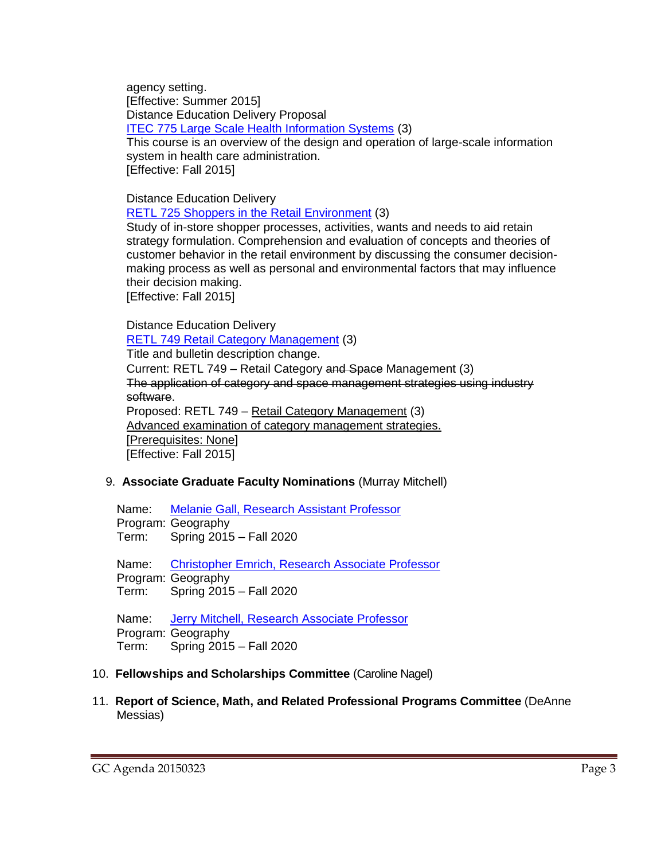agency setting. [Effective: Summer 2015] Distance Education Delivery Proposal [ITEC 775 Large Scale Health Information Systems](http://gradschool.sc.edu/facstaff/gradcouncil/2014/ITEC%20775%20DED_Redacted.pdf) (3) This course is an overview of the design and operation of large-scale information

system in health care administration. [Effective: Fall 2015]

Distance Education Delivery

[RETL 725 Shoppers in the Retail Environment](http://gradschool.sc.edu/facstaff/gradcouncil/2014/RETL%20725%20DED_Redacted.pdf) (3)

Study of in-store shopper processes, activities, wants and needs to aid retain strategy formulation. Comprehension and evaluation of concepts and theories of customer behavior in the retail environment by discussing the consumer decisionmaking process as well as personal and environmental factors that may influence their decision making.

[Effective: Fall 2015]

Distance Education Delivery [RETL 749 Retail Category Management](http://gradschool.sc.edu/facstaff/gradcouncil/2014/RETL%20749%20DED_Redacted.pdf) (3) Title and bulletin description change. Current: RETL 749 – Retail Category and Space Management (3) The application of category and space management strategies using industry software. Proposed: RETL 749 – Retail Category Management (3) Advanced examination of category management strategies. [Prerequisites: None] [Effective: Fall 2015]

# 9. **Associate Graduate Faculty Nominations** (Murray Mitchell)

Name: [Melanie Gall, Research Assistant Professor](http://gradschool.sc.edu/facstaff/gradcouncil/2014/Gall,%20Melanie%20Geography.pdf) Program: Geography Term: Spring 2015 – Fall 2020

Name: [Christopher Emrich, Research Associate Professor](http://gradschool.sc.edu/facstaff/gradcouncil/2014/Emrich,%20Christopher%20Geography.pdf) Program: Geography Term: Spring 2015 – Fall 2020

Name: [Jerry Mitchell, Research Associate Professor](http://gradschool.sc.edu/facstaff/gradcouncil/2014/Mitchell,%20Jerry%20T%20Geography.pdf) Program: Geography Term: Spring 2015 – Fall 2020

### 10. **Fellowships and Scholarships Committee** (Caroline Nagel)

11. **Report of Science, Math, and Related Professional Programs Committee** (DeAnne Messias)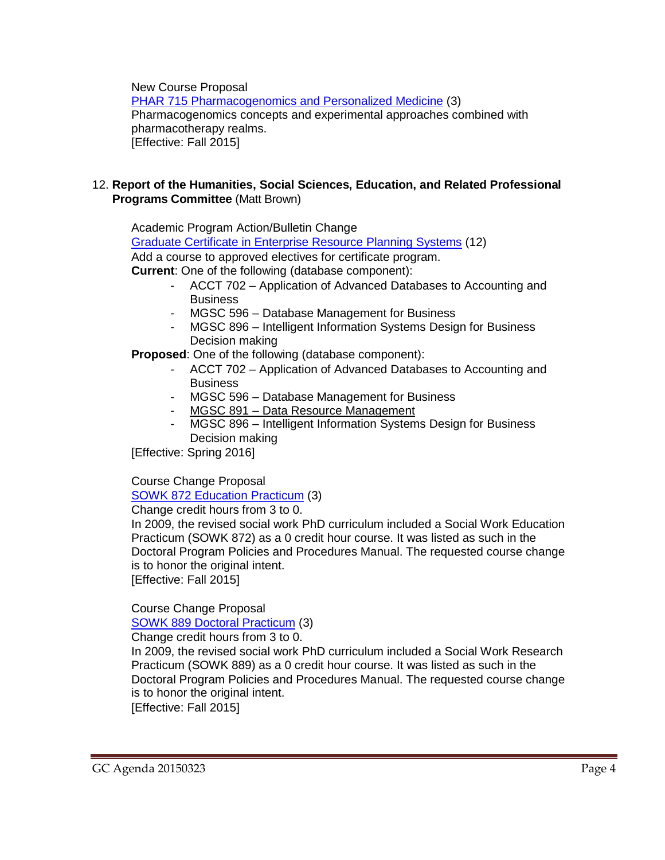New Course Proposal

[PHAR 715 Pharmacogenomics and Personalized Medicine](http://gradschool.sc.edu/facstaff/gradcouncil/2014/PHAR%20715%20NCP_Redacted1.pdf) (3) Pharmacogenomics concepts and experimental approaches combined with pharmacotherapy realms. [Effective: Fall 2015]

### 12. **Report of the Humanities, Social Sciences, Education, and Related Professional Programs Committee** (Matt Brown)

Academic Program Action/Bulletin Change [Graduate Certificate in Enterprise Resource Planning Systems](http://gradschool.sc.edu/facstaff/gradcouncil/2014/APA%20add%20elective%20Enterprise%20Res%20Planning%20Systems_Redacted3-2-15.pdf) (12) Add a course to approved electives for certificate program. **Current**: One of the following (database component):

- ACCT 702 Application of Advanced Databases to Accounting and **Business**
- MGSC 596 Database Management for Business
- MGSC 896 Intelligent Information Systems Design for Business Decision making

**Proposed**: One of the following (database component):

- ACCT 702 Application of Advanced Databases to Accounting and **Business**
- MGSC 596 Database Management for Business
- MGSC 891 Data Resource Management
- MGSC 896 Intelligent Information Systems Design for Business Decision making

[Effective: Spring 2016]

# Course Change Proposal

[SOWK 872 Education](http://gradschool.sc.edu/facstaff/gradcouncil/2014/SOWK%20872%20SOWK%20EDU%20Practicum%20CCP_Redacted.pdf) Practicum (3)

Change credit hours from 3 to 0.

In 2009, the revised social work PhD curriculum included a Social Work Education Practicum (SOWK 872) as a 0 credit hour course. It was listed as such in the Doctoral Program Policies and Procedures Manual. The requested course change is to honor the original intent.

[Effective: Fall 2015]

Course Change Proposal

[SOWK 889 Doctoral Practicum](http://gradschool.sc.edu/facstaff/gradcouncil/2014/SOWK%20889%20Doctoral%20Practicum%20CCP_Redacted.pdf) (3)

Change credit hours from 3 to 0.

In 2009, the revised social work PhD curriculum included a Social Work Research Practicum (SOWK 889) as a 0 credit hour course. It was listed as such in the Doctoral Program Policies and Procedures Manual. The requested course change is to honor the original intent.

[Effective: Fall 2015]